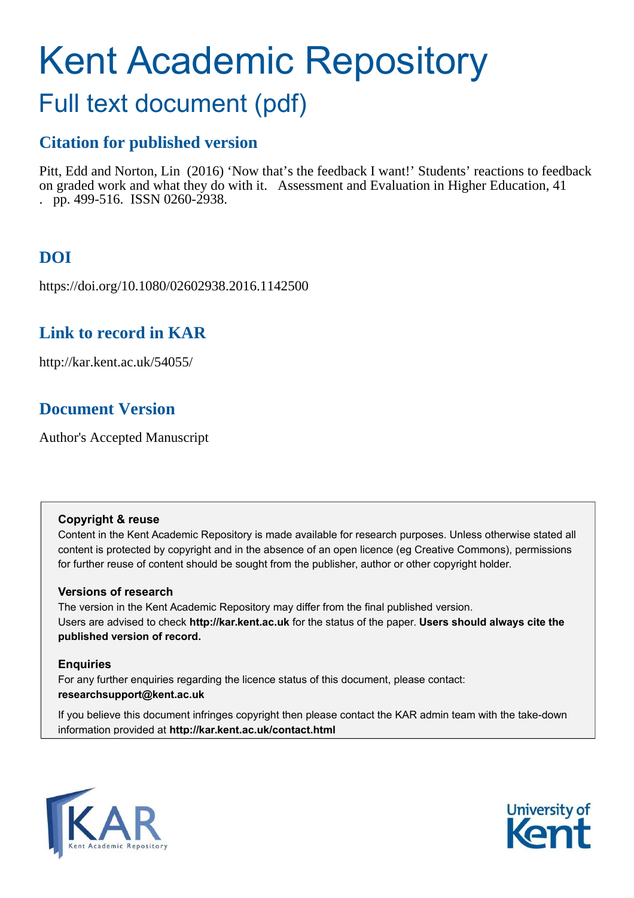# Kent Academic Repository

## Full text document (pdf)

## **Citation for published version**

Pitt, Edd and Norton, Lin (2016) 'Now that's the feedback I want!' Students' reactions to feedback on graded work and what they do with it. Assessment and Evaluation in Higher Education, 41 . pp. 499-516. ISSN 0260-2938.

## **DOI**

https://doi.org/10.1080/02602938.2016.1142500

## **Link to record in KAR**

http://kar.kent.ac.uk/54055/

## **Document Version**

Author's Accepted Manuscript

#### **Copyright & reuse**

Content in the Kent Academic Repository is made available for research purposes. Unless otherwise stated all content is protected by copyright and in the absence of an open licence (eg Creative Commons), permissions for further reuse of content should be sought from the publisher, author or other copyright holder.

#### **Versions of research**

The version in the Kent Academic Repository may differ from the final published version. Users are advised to check **http://kar.kent.ac.uk** for the status of the paper. **Users should always cite the published version of record.**

#### **Enquiries**

For any further enquiries regarding the licence status of this document, please contact: **researchsupport@kent.ac.uk**

If you believe this document infringes copyright then please contact the KAR admin team with the take-down information provided at **http://kar.kent.ac.uk/contact.html**



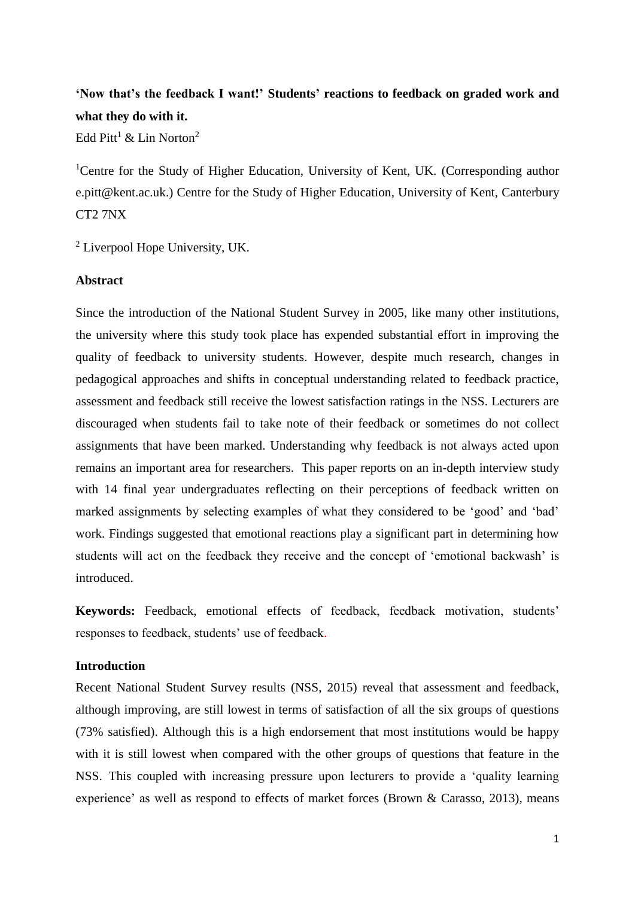### **'Now that's the feedback I want!' Students' reactions to feedback on graded work and what they do with it.**

Edd Pitt $^1$  & Lin Norton<sup>2</sup>

<sup>1</sup>Centre for the Study of Higher Education, University of Kent, UK. (Corresponding author e.pitt@kent.ac.uk.) Centre for the Study of Higher Education, University of Kent, Canterbury CT2 7NX

<sup>2</sup> Liverpool Hope University, UK.

#### **Abstract**

Since the introduction of the National Student Survey in 2005, like many other institutions, the university where this study took place has expended substantial effort in improving the quality of feedback to university students. However, despite much research, changes in pedagogical approaches and shifts in conceptual understanding related to feedback practice, assessment and feedback still receive the lowest satisfaction ratings in the NSS. Lecturers are discouraged when students fail to take note of their feedback or sometimes do not collect assignments that have been marked. Understanding why feedback is not always acted upon remains an important area for researchers. This paper reports on an in-depth interview study with 14 final year undergraduates reflecting on their perceptions of feedback written on marked assignments by selecting examples of what they considered to be 'good' and 'bad' work. Findings suggested that emotional reactions play a significant part in determining how students will act on the feedback they receive and the concept of 'emotional backwash' is introduced.

**Keywords:** Feedback, emotional effects of feedback, feedback motivation, students' responses to feedback, students' use of feedback.

#### **Introduction**

Recent National Student Survey results (NSS, 2015) reveal that assessment and feedback, although improving, are still lowest in terms of satisfaction of all the six groups of questions (73% satisfied). Although this is a high endorsement that most institutions would be happy with it is still lowest when compared with the other groups of questions that feature in the NSS. This coupled with increasing pressure upon lecturers to provide a 'quality learning experience' as well as respond to effects of market forces (Brown & Carasso, 2013), means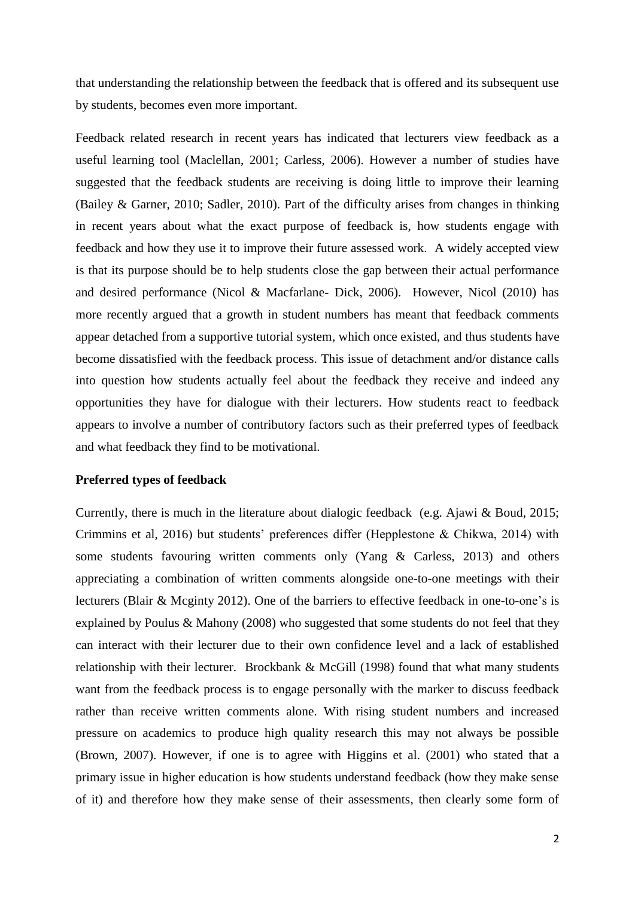that understanding the relationship between the feedback that is offered and its subsequent use by students, becomes even more important.

Feedback related research in recent years has indicated that lecturers view feedback as a useful learning tool (Maclellan, 2001; Carless, 2006). However a number of studies have suggested that the feedback students are receiving is doing little to improve their learning (Bailey & Garner, 2010; Sadler, 2010). Part of the difficulty arises from changes in thinking in recent years about what the exact purpose of feedback is, how students engage with feedback and how they use it to improve their future assessed work. A widely accepted view is that its purpose should be to help students close the gap between their actual performance and desired performance (Nicol & Macfarlane- Dick, 2006). However, Nicol (2010) has more recently argued that a growth in student numbers has meant that feedback comments appear detached from a supportive tutorial system, which once existed, and thus students have become dissatisfied with the feedback process. This issue of detachment and/or distance calls into question how students actually feel about the feedback they receive and indeed any opportunities they have for dialogue with their lecturers. How students react to feedback appears to involve a number of contributory factors such as their preferred types of feedback and what feedback they find to be motivational.

#### **Preferred types of feedback**

Currently, there is much in the literature about dialogic feedback (e.g. Ajawi & Boud, 2015; Crimmins et al, 2016) but students' preferences differ (Hepplestone & Chikwa, 2014) with some students favouring written comments only (Yang & Carless, 2013) and others appreciating a combination of written comments alongside one-to-one meetings with their lecturers (Blair & Mcginty 2012). One of the barriers to effective feedback in one-to-one's is explained by Poulus & Mahony (2008) who suggested that some students do not feel that they can interact with their lecturer due to their own confidence level and a lack of established relationship with their lecturer. Brockbank & McGill (1998) found that what many students want from the feedback process is to engage personally with the marker to discuss feedback rather than receive written comments alone. With rising student numbers and increased pressure on academics to produce high quality research this may not always be possible (Brown, 2007). However, if one is to agree with Higgins et al. (2001) who stated that a primary issue in higher education is how students understand feedback (how they make sense of it) and therefore how they make sense of their assessments, then clearly some form of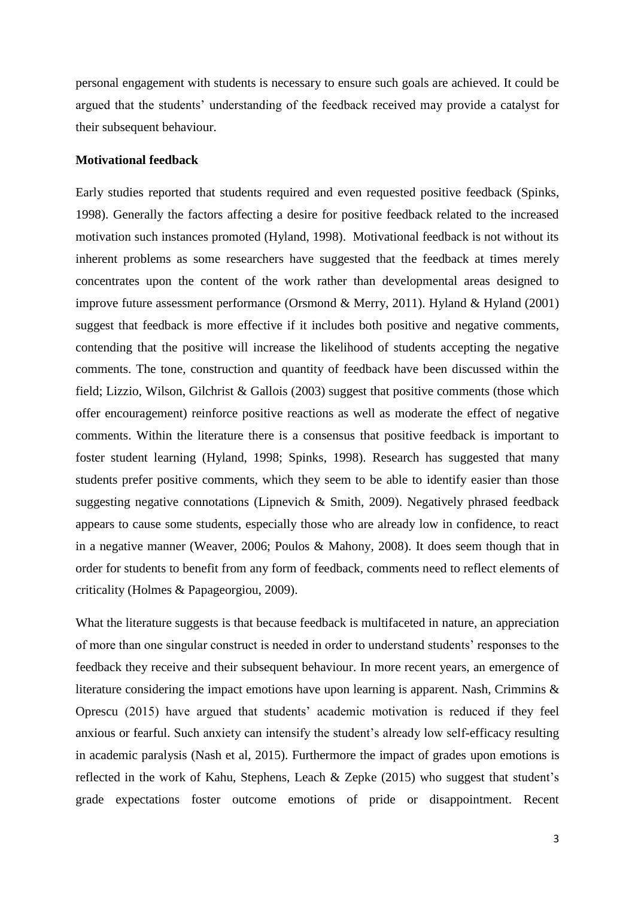personal engagement with students is necessary to ensure such goals are achieved. It could be argued that the students' understanding of the feedback received may provide a catalyst for their subsequent behaviour.

#### **Motivational feedback**

Early studies reported that students required and even requested positive feedback (Spinks, 1998). Generally the factors affecting a desire for positive feedback related to the increased motivation such instances promoted (Hyland, 1998). Motivational feedback is not without its inherent problems as some researchers have suggested that the feedback at times merely concentrates upon the content of the work rather than developmental areas designed to improve future assessment performance (Orsmond & Merry, 2011). Hyland & Hyland (2001) suggest that feedback is more effective if it includes both positive and negative comments, contending that the positive will increase the likelihood of students accepting the negative comments. The tone, construction and quantity of feedback have been discussed within the field; Lizzio, Wilson, Gilchrist & Gallois (2003) suggest that positive comments (those which offer encouragement) reinforce positive reactions as well as moderate the effect of negative comments. Within the literature there is a consensus that positive feedback is important to foster student learning (Hyland, 1998; Spinks, 1998). Research has suggested that many students prefer positive comments, which they seem to be able to identify easier than those suggesting negative connotations (Lipnevich & Smith, 2009). Negatively phrased feedback appears to cause some students, especially those who are already low in confidence, to react in a negative manner (Weaver, 2006; Poulos & Mahony, 2008). It does seem though that in order for students to benefit from any form of feedback, comments need to reflect elements of criticality (Holmes & Papageorgiou, 2009).

What the literature suggests is that because feedback is multifaceted in nature, an appreciation of more than one singular construct is needed in order to understand students' responses to the feedback they receive and their subsequent behaviour. In more recent years, an emergence of literature considering the impact emotions have upon learning is apparent. Nash, Crimmins & Oprescu (2015) have argued that students' academic motivation is reduced if they feel anxious or fearful. Such anxiety can intensify the student's already low self-efficacy resulting in academic paralysis (Nash et al, 2015). Furthermore the impact of grades upon emotions is reflected in the work of Kahu, Stephens, Leach & Zepke (2015) who suggest that student's grade expectations foster outcome emotions of pride or disappointment. Recent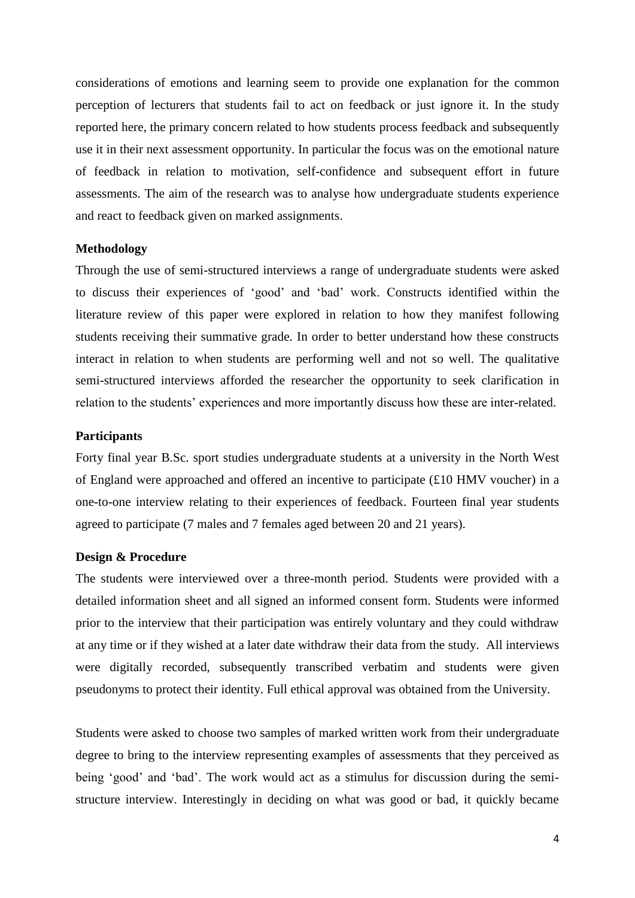considerations of emotions and learning seem to provide one explanation for the common perception of lecturers that students fail to act on feedback or just ignore it. In the study reported here, the primary concern related to how students process feedback and subsequently use it in their next assessment opportunity. In particular the focus was on the emotional nature of feedback in relation to motivation, self-confidence and subsequent effort in future assessments. The aim of the research was to analyse how undergraduate students experience and react to feedback given on marked assignments.

#### **Methodology**

Through the use of semi-structured interviews a range of undergraduate students were asked to discuss their experiences of 'good' and 'bad' work. Constructs identified within the literature review of this paper were explored in relation to how they manifest following students receiving their summative grade. In order to better understand how these constructs interact in relation to when students are performing well and not so well. The qualitative semi-structured interviews afforded the researcher the opportunity to seek clarification in relation to the students' experiences and more importantly discuss how these are inter-related.

#### **Participants**

Forty final year B.Sc. sport studies undergraduate students at a university in the North West of England were approached and offered an incentive to participate (£10 HMV voucher) in a one-to-one interview relating to their experiences of feedback. Fourteen final year students agreed to participate (7 males and 7 females aged between 20 and 21 years).

#### **Design & Procedure**

The students were interviewed over a three-month period. Students were provided with a detailed information sheet and all signed an informed consent form. Students were informed prior to the interview that their participation was entirely voluntary and they could withdraw at any time or if they wished at a later date withdraw their data from the study. All interviews were digitally recorded, subsequently transcribed verbatim and students were given pseudonyms to protect their identity. Full ethical approval was obtained from the University.

Students were asked to choose two samples of marked written work from their undergraduate degree to bring to the interview representing examples of assessments that they perceived as being 'good' and 'bad'. The work would act as a stimulus for discussion during the semistructure interview. Interestingly in deciding on what was good or bad, it quickly became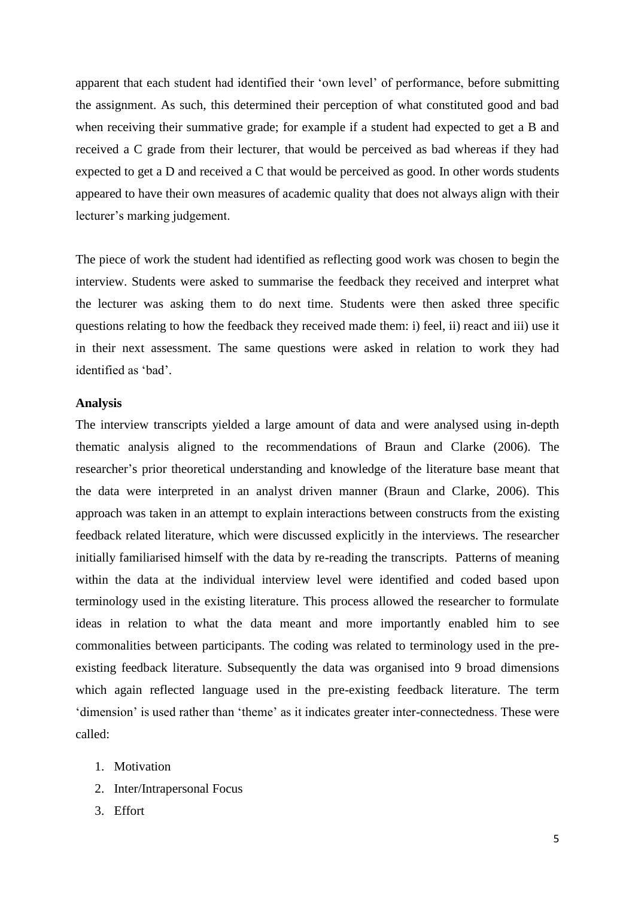apparent that each student had identified their 'own level' of performance, before submitting the assignment. As such, this determined their perception of what constituted good and bad when receiving their summative grade; for example if a student had expected to get a B and received a C grade from their lecturer, that would be perceived as bad whereas if they had expected to get a D and received a C that would be perceived as good. In other words students appeared to have their own measures of academic quality that does not always align with their lecturer's marking judgement.

The piece of work the student had identified as reflecting good work was chosen to begin the interview. Students were asked to summarise the feedback they received and interpret what the lecturer was asking them to do next time. Students were then asked three specific questions relating to how the feedback they received made them: i) feel, ii) react and iii) use it in their next assessment. The same questions were asked in relation to work they had identified as 'bad'.

#### **Analysis**

The interview transcripts yielded a large amount of data and were analysed using in-depth thematic analysis aligned to the recommendations of Braun and Clarke (2006). The researcher's prior theoretical understanding and knowledge of the literature base meant that the data were interpreted in an analyst driven manner (Braun and Clarke, 2006). This approach was taken in an attempt to explain interactions between constructs from the existing feedback related literature, which were discussed explicitly in the interviews. The researcher initially familiarised himself with the data by re-reading the transcripts. Patterns of meaning within the data at the individual interview level were identified and coded based upon terminology used in the existing literature. This process allowed the researcher to formulate ideas in relation to what the data meant and more importantly enabled him to see commonalities between participants. The coding was related to terminology used in the preexisting feedback literature. Subsequently the data was organised into 9 broad dimensions which again reflected language used in the pre-existing feedback literature. The term 'dimension' is used rather than 'theme' as it indicates greater inter-connectedness. These were called:

- 1. Motivation
- 2. Inter/Intrapersonal Focus
- 3. Effort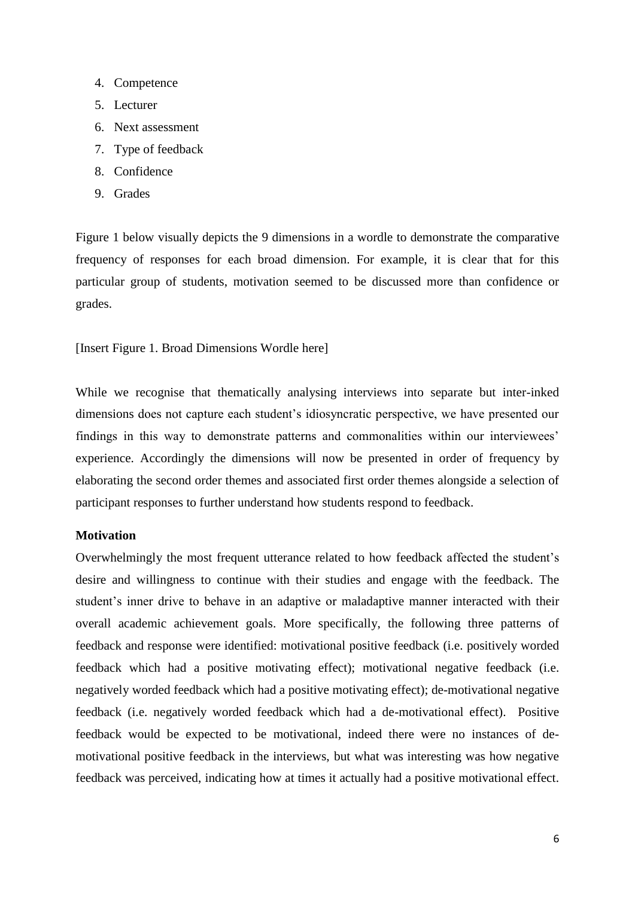- 4. Competence
- 5. Lecturer
- 6. Next assessment
- 7. Type of feedback
- 8. Confidence
- 9. Grades

Figure 1 below visually depicts the 9 dimensions in a wordle to demonstrate the comparative frequency of responses for each broad dimension. For example, it is clear that for this particular group of students, motivation seemed to be discussed more than confidence or grades.

#### [Insert Figure 1. Broad Dimensions Wordle here]

While we recognise that thematically analysing interviews into separate but inter-inked dimensions does not capture each student's idiosyncratic perspective, we have presented our findings in this way to demonstrate patterns and commonalities within our interviewees' experience. Accordingly the dimensions will now be presented in order of frequency by elaborating the second order themes and associated first order themes alongside a selection of participant responses to further understand how students respond to feedback.

#### **Motivation**

Overwhelmingly the most frequent utterance related to how feedback affected the student's desire and willingness to continue with their studies and engage with the feedback. The student's inner drive to behave in an adaptive or maladaptive manner interacted with their overall academic achievement goals. More specifically, the following three patterns of feedback and response were identified: motivational positive feedback (i.e. positively worded feedback which had a positive motivating effect); motivational negative feedback (i.e. negatively worded feedback which had a positive motivating effect); de-motivational negative feedback (i.e. negatively worded feedback which had a de-motivational effect). Positive feedback would be expected to be motivational, indeed there were no instances of demotivational positive feedback in the interviews, but what was interesting was how negative feedback was perceived, indicating how at times it actually had a positive motivational effect.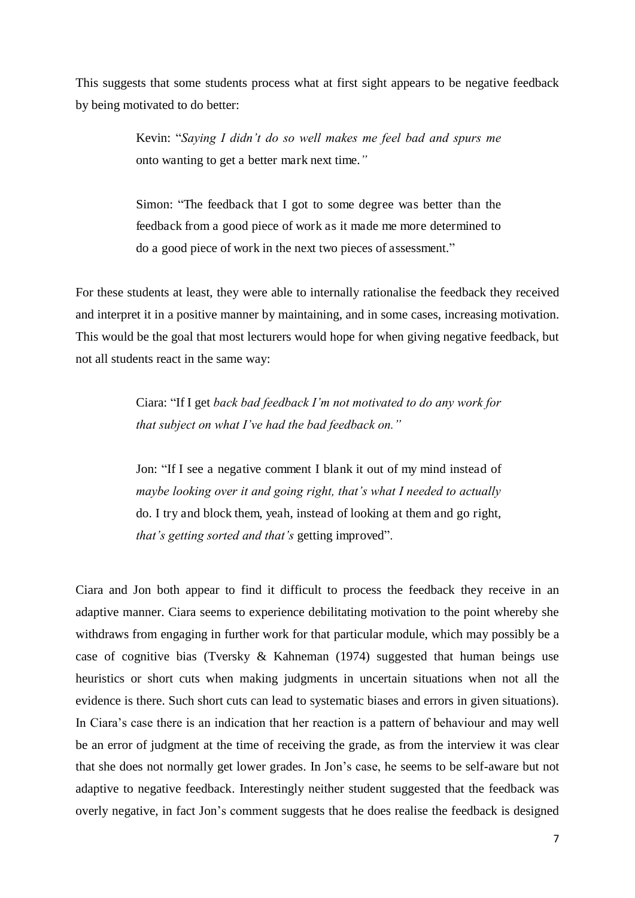This suggests that some students process what at first sight appears to be negative feedback by being motivated to do better:

> Kevin: "*Saying I didn't do so well makes me feel bad and spurs me*  onto wanting to get a better mark next time.*"*

> Simon: "The feedback that I got to some degree was better than the feedback from a good piece of work as it made me more determined to do a good piece of work in the next two pieces of assessment."

For these students at least, they were able to internally rationalise the feedback they received and interpret it in a positive manner by maintaining, and in some cases, increasing motivation. This would be the goal that most lecturers would hope for when giving negative feedback, but not all students react in the same way:

> Ciara: "If I get *back bad feedback I'm not motivated to do any work for that subject on what I've had the bad feedback on."*

> Jon: "If I see a negative comment I blank it out of my mind instead of *maybe looking over it and going right, that's what I needed to actually*  do. I try and block them, yeah, instead of looking at them and go right, *that's getting sorted and that's* getting improved".

Ciara and Jon both appear to find it difficult to process the feedback they receive in an adaptive manner. Ciara seems to experience debilitating motivation to the point whereby she withdraws from engaging in further work for that particular module, which may possibly be a case of cognitive bias (Tversky & Kahneman (1974) suggested that human beings use heuristics or short cuts when making judgments in uncertain situations when not all the evidence is there. Such short cuts can lead to systematic biases and errors in given situations). In Ciara's case there is an indication that her reaction is a pattern of behaviour and may well be an error of judgment at the time of receiving the grade, as from the interview it was clear that she does not normally get lower grades. In Jon's case, he seems to be self-aware but not adaptive to negative feedback. Interestingly neither student suggested that the feedback was overly negative, in fact Jon's comment suggests that he does realise the feedback is designed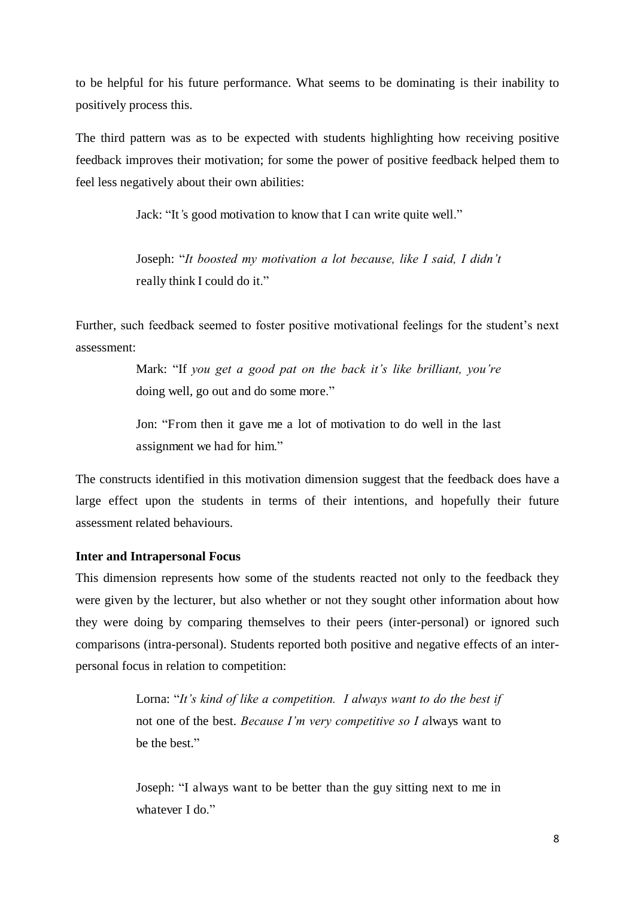to be helpful for his future performance. What seems to be dominating is their inability to positively process this.

The third pattern was as to be expected with students highlighting how receiving positive feedback improves their motivation; for some the power of positive feedback helped them to feel less negatively about their own abilities:

Jack: "It*'*s good motivation to know that I can write quite well."

Joseph: "*It boosted my motivation a lot because, like I said, I didn't*  really think I could do it."

Further, such feedback seemed to foster positive motivational feelings for the student's next assessment:

> Mark: "If *you get a good pat on the back it's like brilliant, you're*  doing well, go out and do some more."

> Jon: "From then it gave me a lot of motivation to do well in the last assignment we had for him."

The constructs identified in this motivation dimension suggest that the feedback does have a large effect upon the students in terms of their intentions, and hopefully their future assessment related behaviours.

#### **Inter and Intrapersonal Focus**

This dimension represents how some of the students reacted not only to the feedback they were given by the lecturer, but also whether or not they sought other information about how they were doing by comparing themselves to their peers (inter-personal) or ignored such comparisons (intra-personal). Students reported both positive and negative effects of an interpersonal focus in relation to competition:

> Lorna: "*It's kind of like a competition. I always want to do the best if*  not one of the best. *Because I'm very competitive so I a*lways want to be the best."

> Joseph: "I always want to be better than the guy sitting next to me in whatever I do."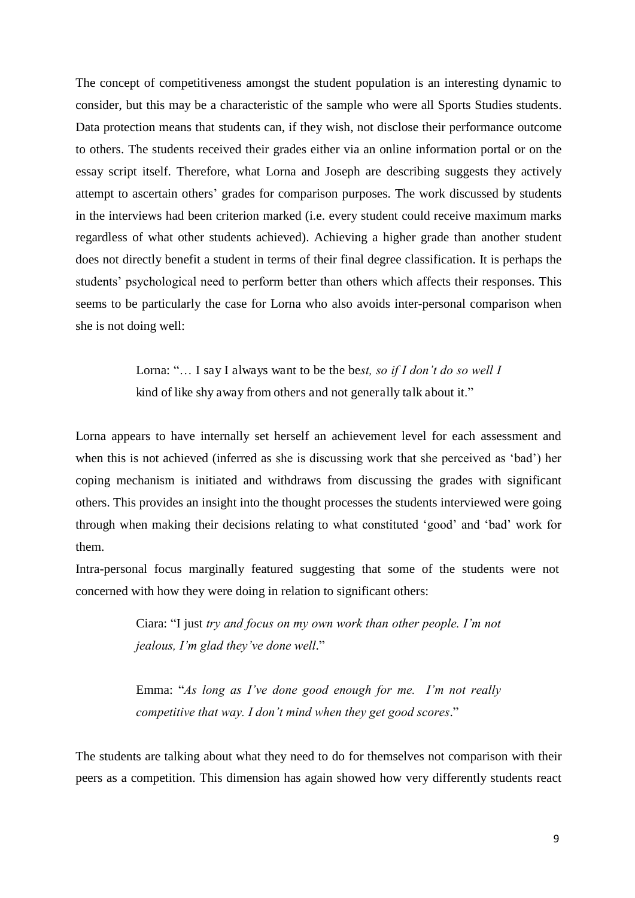The concept of competitiveness amongst the student population is an interesting dynamic to consider, but this may be a characteristic of the sample who were all Sports Studies students. Data protection means that students can, if they wish, not disclose their performance outcome to others. The students received their grades either via an online information portal or on the essay script itself. Therefore, what Lorna and Joseph are describing suggests they actively attempt to ascertain others' grades for comparison purposes. The work discussed by students in the interviews had been criterion marked (i.e. every student could receive maximum marks regardless of what other students achieved). Achieving a higher grade than another student does not directly benefit a student in terms of their final degree classification. It is perhaps the students' psychological need to perform better than others which affects their responses. This seems to be particularly the case for Lorna who also avoids inter-personal comparison when she is not doing well:

> Lorna: "… I say I always want to be the be*st, so if I don't do so well I*  kind of like shy away from others and not generally talk about it."

Lorna appears to have internally set herself an achievement level for each assessment and when this is not achieved (inferred as she is discussing work that she perceived as 'bad') her coping mechanism is initiated and withdraws from discussing the grades with significant others. This provides an insight into the thought processes the students interviewed were going through when making their decisions relating to what constituted 'good' and 'bad' work for them.

Intra-personal focus marginally featured suggesting that some of the students were not concerned with how they were doing in relation to significant others:

> Ciara: "I just *try and focus on my own work than other people. I'm not jealous, I'm glad they've done well*."

> Emma: "*As long as I've done good enough for me. I'm not really competitive that way. I don't mind when they get good scores*."

The students are talking about what they need to do for themselves not comparison with their peers as a competition. This dimension has again showed how very differently students react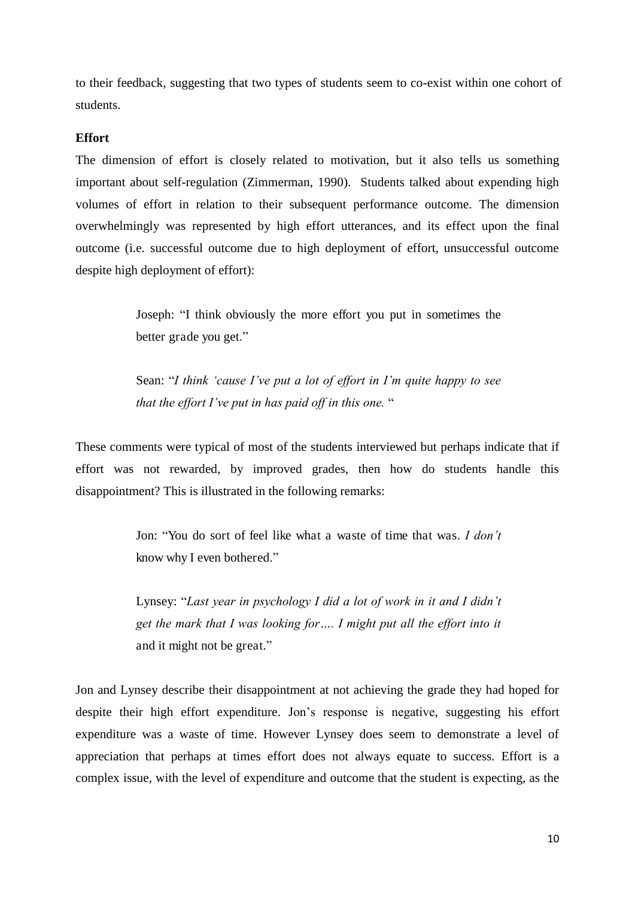to their feedback, suggesting that two types of students seem to co-exist within one cohort of students.

#### **Effort**

The dimension of effort is closely related to motivation, but it also tells us something important about self-regulation (Zimmerman, 1990). Students talked about expending high volumes of effort in relation to their subsequent performance outcome. The dimension overwhelmingly was represented by high effort utterances, and its effect upon the final outcome (i.e. successful outcome due to high deployment of effort, unsuccessful outcome despite high deployment of effort):

> Joseph: "I think obviously the more effort you put in sometimes the better grade you get."

> Sean: "*I think 'cause I've put a lot of effort in I'm quite happy to see that the effort I've put in has paid off in this one.* "

These comments were typical of most of the students interviewed but perhaps indicate that if effort was not rewarded, by improved grades, then how do students handle this disappointment? This is illustrated in the following remarks:

> Jon: "You do sort of feel like what a waste of time that was. *I don't*  know why I even bothered."

> Lynsey: "*Last year in psychology I did a lot of work in it and I didn't get the mark that I was looking for…. I might put all the effort into it*  and it might not be great."

Jon and Lynsey describe their disappointment at not achieving the grade they had hoped for despite their high effort expenditure. Jon's response is negative, suggesting his effort expenditure was a waste of time. However Lynsey does seem to demonstrate a level of appreciation that perhaps at times effort does not always equate to success. Effort is a complex issue, with the level of expenditure and outcome that the student is expecting, as the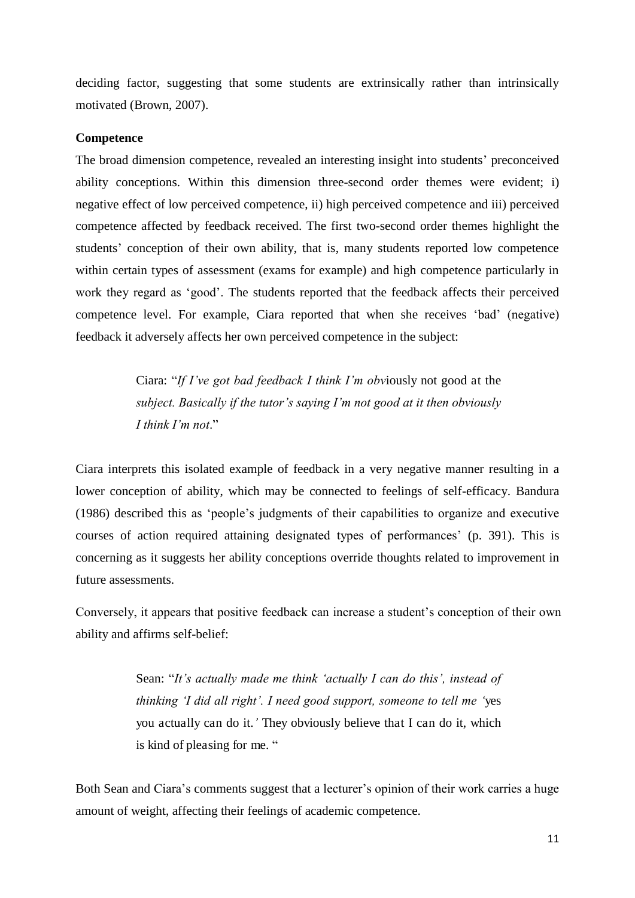deciding factor, suggesting that some students are extrinsically rather than intrinsically motivated (Brown, 2007).

#### **Competence**

The broad dimension competence, revealed an interesting insight into students' preconceived ability conceptions. Within this dimension three-second order themes were evident; i) negative effect of low perceived competence, ii) high perceived competence and iii) perceived competence affected by feedback received. The first two-second order themes highlight the students' conception of their own ability, that is, many students reported low competence within certain types of assessment (exams for example) and high competence particularly in work they regard as 'good'. The students reported that the feedback affects their perceived competence level. For example, Ciara reported that when she receives 'bad' (negative) feedback it adversely affects her own perceived competence in the subject:

> Ciara: "*If I've got bad feedback I think I'm obv*iously not good at the *subject. Basically if the tutor's saying I'm not good at it then obviously I think I'm not*."

Ciara interprets this isolated example of feedback in a very negative manner resulting in a lower conception of ability, which may be connected to feelings of self-efficacy. Bandura (1986) described this as 'people's judgments of their capabilities to organize and executive courses of action required attaining designated types of performances' (p. 391). This is concerning as it suggests her ability conceptions override thoughts related to improvement in future assessments.

Conversely, it appears that positive feedback can increase a student's conception of their own ability and affirms self-belief:

> Sean: "*It's actually made me think 'actually I can do this', instead of thinking 'I did all right'. I need good support, someone to tell me '*yes you actually can do it.*'* They obviously believe that I can do it, which is kind of pleasing for me. "

Both Sean and Ciara's comments suggest that a lecturer's opinion of their work carries a huge amount of weight, affecting their feelings of academic competence.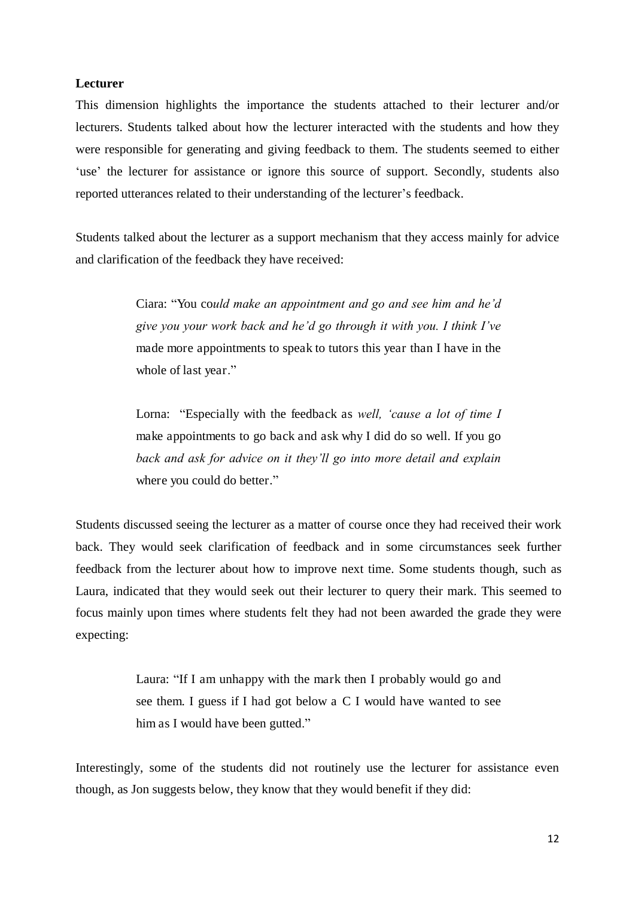#### **Lecturer**

This dimension highlights the importance the students attached to their lecturer and/or lecturers. Students talked about how the lecturer interacted with the students and how they were responsible for generating and giving feedback to them. The students seemed to either 'use' the lecturer for assistance or ignore this source of support. Secondly, students also reported utterances related to their understanding of the lecturer's feedback.

Students talked about the lecturer as a support mechanism that they access mainly for advice and clarification of the feedback they have received:

> Ciara: "You co*uld make an appointment and go and see him and he'd give you your work back and he'd go through it with you. I think I've*  made more appointments to speak to tutors this year than I have in the whole of last year."

> Lorna: "Especially with the feedback as *well, 'cause a lot of time I*  make appointments to go back and ask why I did do so well. If you go *back and ask for advice on it they'll go into more detail and explain*  where you could do better."

Students discussed seeing the lecturer as a matter of course once they had received their work back. They would seek clarification of feedback and in some circumstances seek further feedback from the lecturer about how to improve next time. Some students though, such as Laura, indicated that they would seek out their lecturer to query their mark. This seemed to focus mainly upon times where students felt they had not been awarded the grade they were expecting:

> Laura: "If I am unhappy with the mark then I probably would go and see them. I guess if I had got below a C I would have wanted to see him as I would have been gutted."

Interestingly, some of the students did not routinely use the lecturer for assistance even though, as Jon suggests below, they know that they would benefit if they did: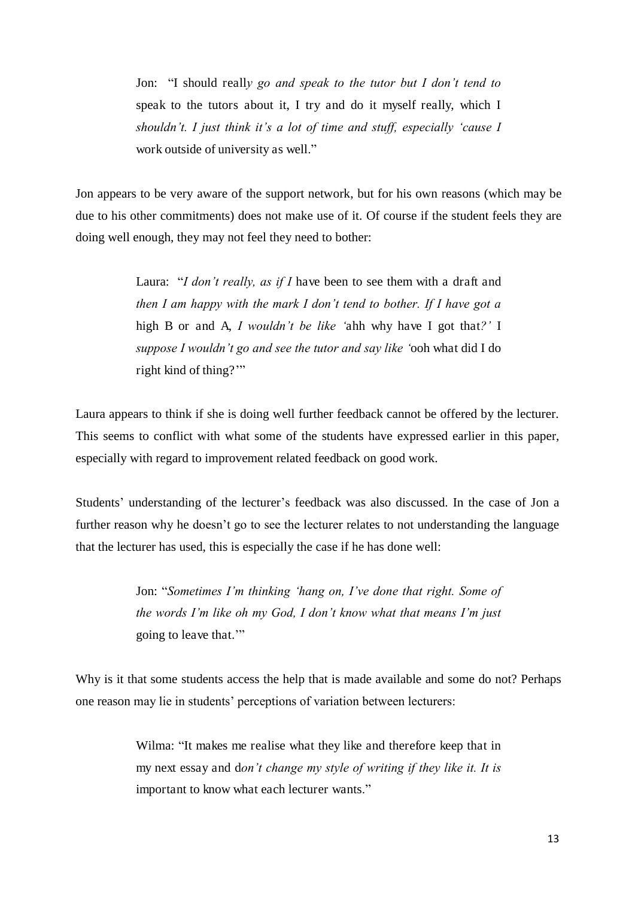Jon: "I should reall*y go and speak to the tutor but I don't tend to*  speak to the tutors about it, I try and do it myself really, which I *shouldn't. I just think it's a lot of time and stuff, especially 'cause I*  work outside of university as well."

Jon appears to be very aware of the support network, but for his own reasons (which may be due to his other commitments) does not make use of it. Of course if the student feels they are doing well enough, they may not feel they need to bother:

> Laura: "*I don't really, as if I* have been to see them with a draft and *then I am happy with the mark I don't tend to bother. If I have got a*  high B or and A, *I wouldn't be like '*ahh why have I got that*?'* I *suppose I wouldn't go and see the tutor and say like '*ooh what did I do right kind of thing?'"

Laura appears to think if she is doing well further feedback cannot be offered by the lecturer. This seems to conflict with what some of the students have expressed earlier in this paper, especially with regard to improvement related feedback on good work.

Students' understanding of the lecturer's feedback was also discussed. In the case of Jon a further reason why he doesn't go to see the lecturer relates to not understanding the language that the lecturer has used, this is especially the case if he has done well:

> Jon: "*Sometimes I'm thinking 'hang on, I've done that right. Some of the words I'm like oh my God, I don't know what that means I'm just*  going to leave that.'"

Why is it that some students access the help that is made available and some do not? Perhaps one reason may lie in students' perceptions of variation between lecturers:

> Wilma: "It makes me realise what they like and therefore keep that in my next essay and d*on't change my style of writing if they like it. It is*  important to know what each lecturer wants."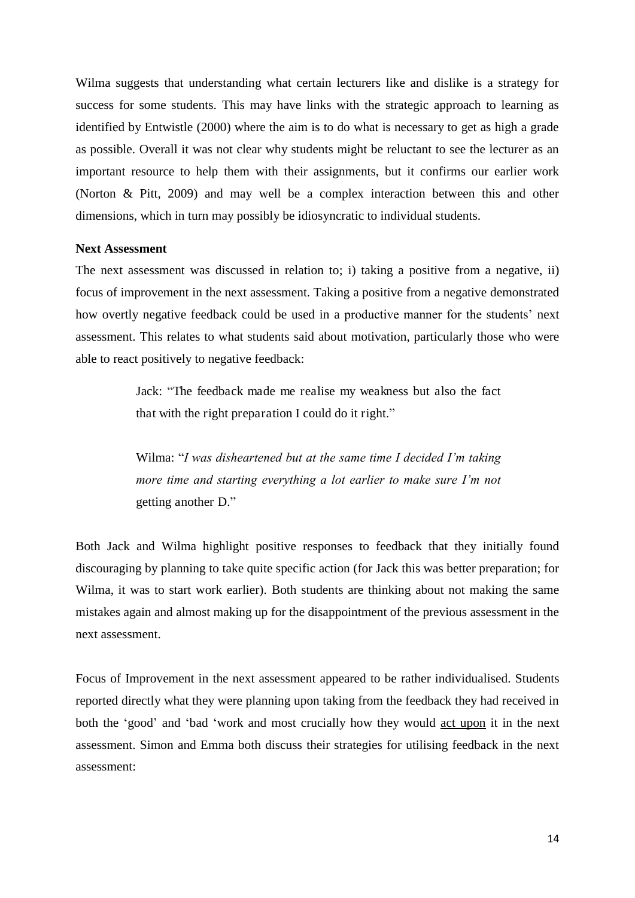Wilma suggests that understanding what certain lecturers like and dislike is a strategy for success for some students. This may have links with the strategic approach to learning as identified by Entwistle (2000) where the aim is to do what is necessary to get as high a grade as possible. Overall it was not clear why students might be reluctant to see the lecturer as an important resource to help them with their assignments, but it confirms our earlier work (Norton & Pitt, 2009) and may well be a complex interaction between this and other dimensions, which in turn may possibly be idiosyncratic to individual students.

#### **Next Assessment**

The next assessment was discussed in relation to; i) taking a positive from a negative, ii) focus of improvement in the next assessment. Taking a positive from a negative demonstrated how overtly negative feedback could be used in a productive manner for the students' next assessment. This relates to what students said about motivation, particularly those who were able to react positively to negative feedback:

> Jack: "The feedback made me realise my weakness but also the fact that with the right preparation I could do it right."

> Wilma: "*I was disheartened but at the same time I decided I'm taking more time and starting everything a lot earlier to make sure I'm not*  getting another D."

Both Jack and Wilma highlight positive responses to feedback that they initially found discouraging by planning to take quite specific action (for Jack this was better preparation; for Wilma, it was to start work earlier). Both students are thinking about not making the same mistakes again and almost making up for the disappointment of the previous assessment in the next assessment.

Focus of Improvement in the next assessment appeared to be rather individualised. Students reported directly what they were planning upon taking from the feedback they had received in both the 'good' and 'bad 'work and most crucially how they would act upon it in the next assessment. Simon and Emma both discuss their strategies for utilising feedback in the next assessment: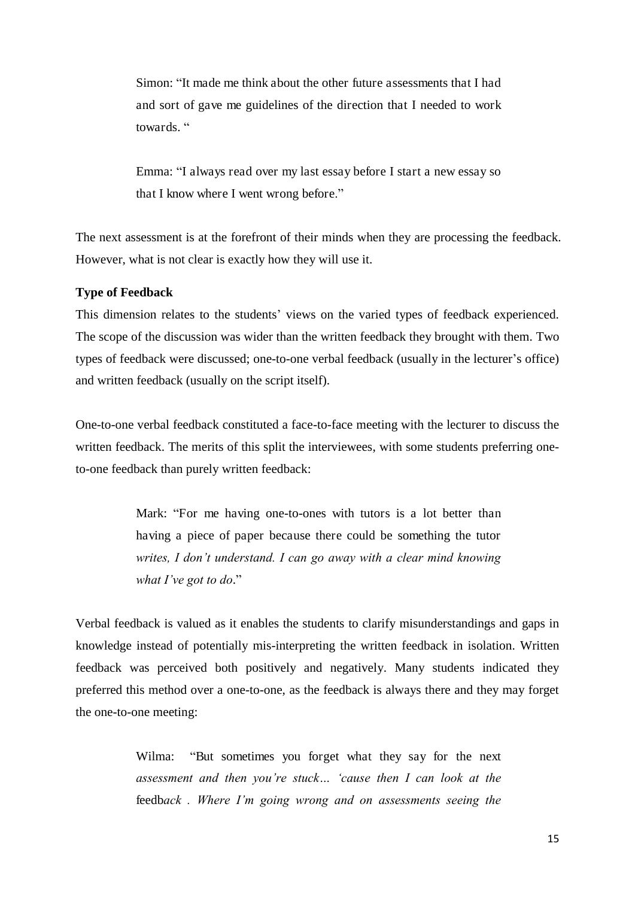Simon: "It made me think about the other future assessments that I had and sort of gave me guidelines of the direction that I needed to work towards. "

Emma: "I always read over my last essay before I start a new essay so that I know where I went wrong before."

The next assessment is at the forefront of their minds when they are processing the feedback. However, what is not clear is exactly how they will use it.

#### **Type of Feedback**

This dimension relates to the students' views on the varied types of feedback experienced. The scope of the discussion was wider than the written feedback they brought with them. Two types of feedback were discussed; one-to-one verbal feedback (usually in the lecturer's office) and written feedback (usually on the script itself).

One-to-one verbal feedback constituted a face-to-face meeting with the lecturer to discuss the written feedback. The merits of this split the interviewees, with some students preferring oneto-one feedback than purely written feedback:

> Mark: "For me having one-to-ones with tutors is a lot better than having a piece of paper because there could be something the tutor *writes, I don't understand. I can go away with a clear mind knowing what I've got to do*."

Verbal feedback is valued as it enables the students to clarify misunderstandings and gaps in knowledge instead of potentially mis-interpreting the written feedback in isolation. Written feedback was perceived both positively and negatively. Many students indicated they preferred this method over a one-to-one, as the feedback is always there and they may forget the one-to-one meeting:

> Wilma: "But sometimes you forget what they say for the next *assessment and then you're stuck… 'cause then I can look at the*  feedb*ack . Where I'm going wrong and on assessments seeing the*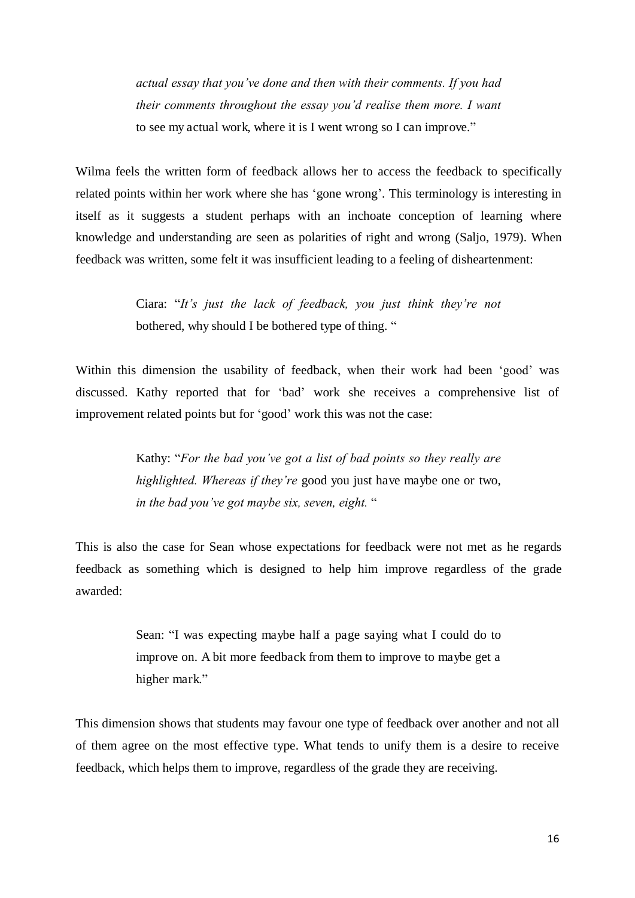*actual essay that you've done and then with their comments. If you had their comments throughout the essay you'd realise them more. I want*  to see my actual work, where it is I went wrong so I can improve."

Wilma feels the written form of feedback allows her to access the feedback to specifically related points within her work where she has 'gone wrong'. This terminology is interesting in itself as it suggests a student perhaps with an inchoate conception of learning where knowledge and understanding are seen as polarities of right and wrong (Saljo, 1979). When feedback was written, some felt it was insufficient leading to a feeling of disheartenment:

> Ciara: "*It's just the lack of feedback, you just think they're not*  bothered, why should I be bothered type of thing. "

Within this dimension the usability of feedback, when their work had been 'good' was discussed. Kathy reported that for 'bad' work she receives a comprehensive list of improvement related points but for 'good' work this was not the case:

> Kathy: "*For the bad you've got a list of bad points so they really are highlighted. Whereas if they're* good you just have maybe one or two, *in the bad you've got maybe six, seven, eight.* "

This is also the case for Sean whose expectations for feedback were not met as he regards feedback as something which is designed to help him improve regardless of the grade awarded:

> Sean: "I was expecting maybe half a page saying what I could do to improve on. A bit more feedback from them to improve to maybe get a higher mark."

This dimension shows that students may favour one type of feedback over another and not all of them agree on the most effective type. What tends to unify them is a desire to receive feedback, which helps them to improve, regardless of the grade they are receiving.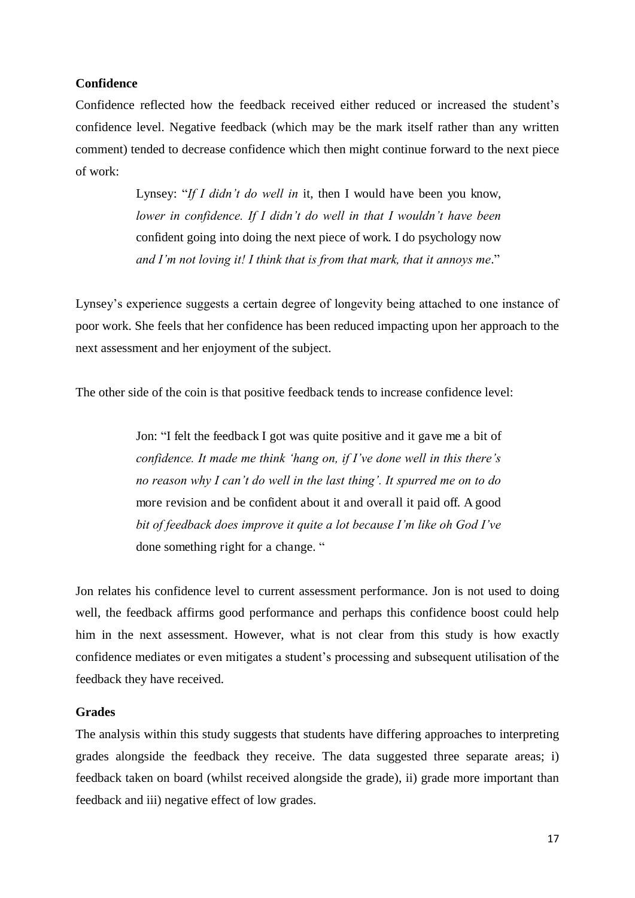#### **Confidence**

Confidence reflected how the feedback received either reduced or increased the student's confidence level. Negative feedback (which may be the mark itself rather than any written comment) tended to decrease confidence which then might continue forward to the next piece of work:

> Lynsey: "*If I didn't do well in* it, then I would have been you know, *lower in confidence. If I didn't do well in that I wouldn't have been*  confident going into doing the next piece of work. I do psychology now *and I'm not loving it! I think that is from that mark, that it annoys me*."

Lynsey's experience suggests a certain degree of longevity being attached to one instance of poor work. She feels that her confidence has been reduced impacting upon her approach to the next assessment and her enjoyment of the subject.

The other side of the coin is that positive feedback tends to increase confidence level:

Jon: "I felt the feedback I got was quite positive and it gave me a bit of *confidence. It made me think 'hang on, if I've done well in this there's no reason why I can't do well in the last thing'. It spurred me on to do*  more revision and be confident about it and overall it paid off. A good *bit of feedback does improve it quite a lot because I'm like oh God I've*  done something right for a change. "

Jon relates his confidence level to current assessment performance. Jon is not used to doing well, the feedback affirms good performance and perhaps this confidence boost could help him in the next assessment. However, what is not clear from this study is how exactly confidence mediates or even mitigates a student's processing and subsequent utilisation of the feedback they have received.

#### **Grades**

The analysis within this study suggests that students have differing approaches to interpreting grades alongside the feedback they receive. The data suggested three separate areas; i) feedback taken on board (whilst received alongside the grade), ii) grade more important than feedback and iii) negative effect of low grades.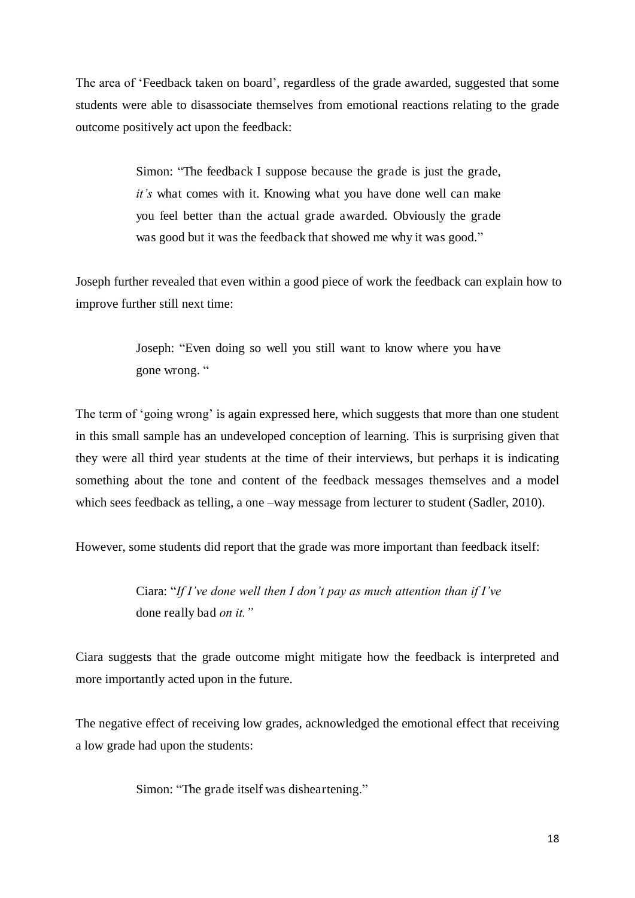The area of 'Feedback taken on board', regardless of the grade awarded, suggested that some students were able to disassociate themselves from emotional reactions relating to the grade outcome positively act upon the feedback:

> Simon: "The feedback I suppose because the grade is just the grade, *it's* what comes with it. Knowing what you have done well can make you feel better than the actual grade awarded. Obviously the grade was good but it was the feedback that showed me why it was good."

Joseph further revealed that even within a good piece of work the feedback can explain how to improve further still next time:

> Joseph: "Even doing so well you still want to know where you have gone wrong. "

The term of 'going wrong' is again expressed here, which suggests that more than one student in this small sample has an undeveloped conception of learning. This is surprising given that they were all third year students at the time of their interviews, but perhaps it is indicating something about the tone and content of the feedback messages themselves and a model which sees feedback as telling, a one –way message from lecturer to student (Sadler, 2010).

However, some students did report that the grade was more important than feedback itself:

Ciara: "*If I've done well then I don't pay as much attention than if I've*  done really bad *on it."*

Ciara suggests that the grade outcome might mitigate how the feedback is interpreted and more importantly acted upon in the future.

The negative effect of receiving low grades, acknowledged the emotional effect that receiving a low grade had upon the students:

Simon: "The grade itself was disheartening."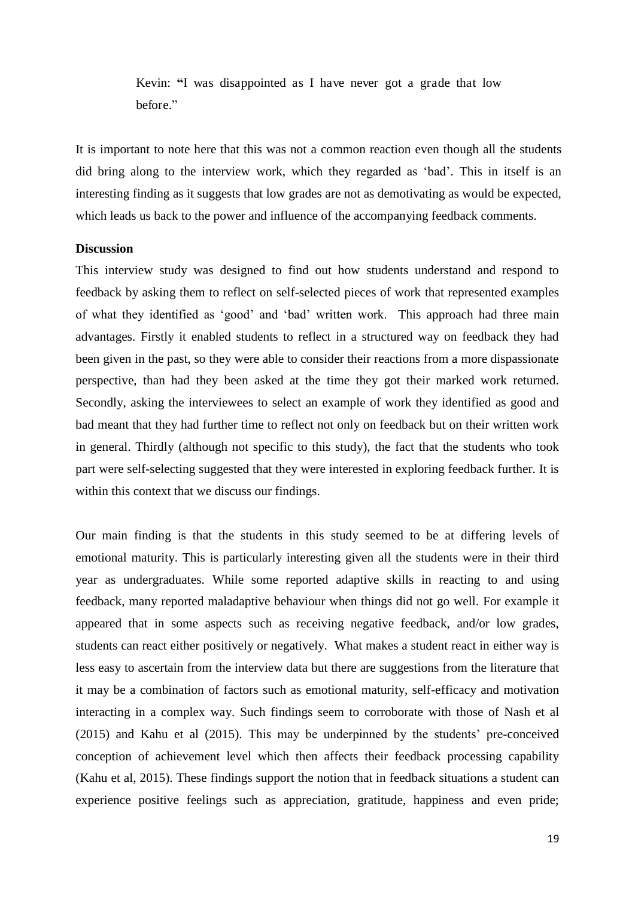Kevin: **"**I was disappointed as I have never got a grade that low before."

It is important to note here that this was not a common reaction even though all the students did bring along to the interview work, which they regarded as 'bad'. This in itself is an interesting finding as it suggests that low grades are not as demotivating as would be expected, which leads us back to the power and influence of the accompanying feedback comments.

#### **Discussion**

This interview study was designed to find out how students understand and respond to feedback by asking them to reflect on self-selected pieces of work that represented examples of what they identified as 'good' and 'bad' written work. This approach had three main advantages. Firstly it enabled students to reflect in a structured way on feedback they had been given in the past, so they were able to consider their reactions from a more dispassionate perspective, than had they been asked at the time they got their marked work returned. Secondly, asking the interviewees to select an example of work they identified as good and bad meant that they had further time to reflect not only on feedback but on their written work in general. Thirdly (although not specific to this study), the fact that the students who took part were self-selecting suggested that they were interested in exploring feedback further. It is within this context that we discuss our findings.

Our main finding is that the students in this study seemed to be at differing levels of emotional maturity. This is particularly interesting given all the students were in their third year as undergraduates. While some reported adaptive skills in reacting to and using feedback, many reported maladaptive behaviour when things did not go well. For example it appeared that in some aspects such as receiving negative feedback, and/or low grades, students can react either positively or negatively. What makes a student react in either way is less easy to ascertain from the interview data but there are suggestions from the literature that it may be a combination of factors such as emotional maturity, self-efficacy and motivation interacting in a complex way. Such findings seem to corroborate with those of Nash et al (2015) and Kahu et al (2015). This may be underpinned by the students' pre-conceived conception of achievement level which then affects their feedback processing capability (Kahu et al, 2015). These findings support the notion that in feedback situations a student can experience positive feelings such as appreciation, gratitude, happiness and even pride;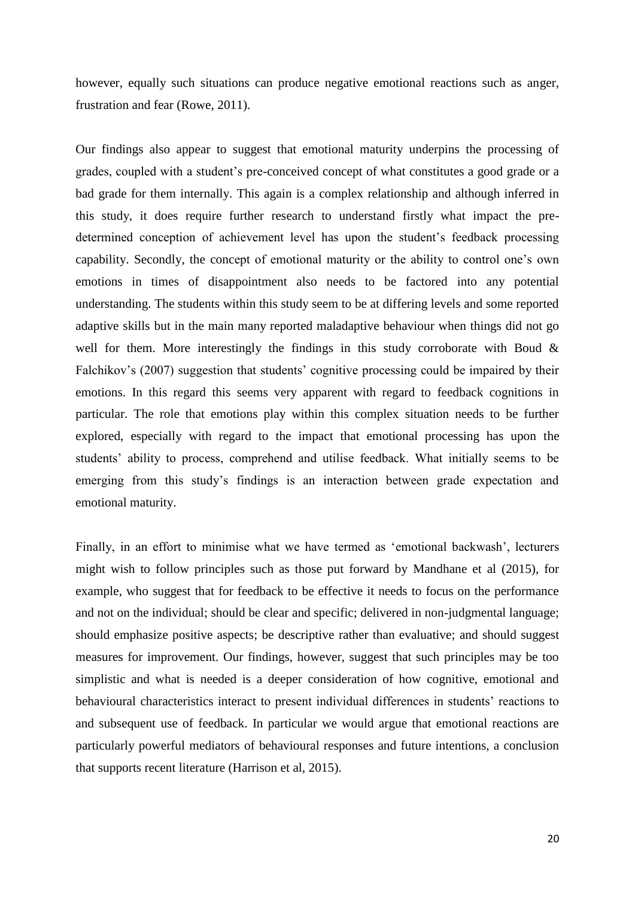however, equally such situations can produce negative emotional reactions such as anger, frustration and fear (Rowe, 2011).

Our findings also appear to suggest that emotional maturity underpins the processing of grades, coupled with a student's pre-conceived concept of what constitutes a good grade or a bad grade for them internally. This again is a complex relationship and although inferred in this study, it does require further research to understand firstly what impact the predetermined conception of achievement level has upon the student's feedback processing capability. Secondly, the concept of emotional maturity or the ability to control one's own emotions in times of disappointment also needs to be factored into any potential understanding. The students within this study seem to be at differing levels and some reported adaptive skills but in the main many reported maladaptive behaviour when things did not go well for them. More interestingly the findings in this study corroborate with Boud & Falchikov's (2007) suggestion that students' cognitive processing could be impaired by their emotions. In this regard this seems very apparent with regard to feedback cognitions in particular. The role that emotions play within this complex situation needs to be further explored, especially with regard to the impact that emotional processing has upon the students' ability to process, comprehend and utilise feedback. What initially seems to be emerging from this study's findings is an interaction between grade expectation and emotional maturity.

Finally, in an effort to minimise what we have termed as 'emotional backwash', lecturers might wish to follow principles such as those put forward by Mandhane et al (2015), for example, who suggest that for feedback to be effective it needs to focus on the performance and not on the individual; should be clear and specific; delivered in non-judgmental language; should emphasize positive aspects; be descriptive rather than evaluative; and should suggest measures for improvement. Our findings, however, suggest that such principles may be too simplistic and what is needed is a deeper consideration of how cognitive, emotional and behavioural characteristics interact to present individual differences in students' reactions to and subsequent use of feedback. In particular we would argue that emotional reactions are particularly powerful mediators of behavioural responses and future intentions, a conclusion that supports recent literature (Harrison et al, 2015).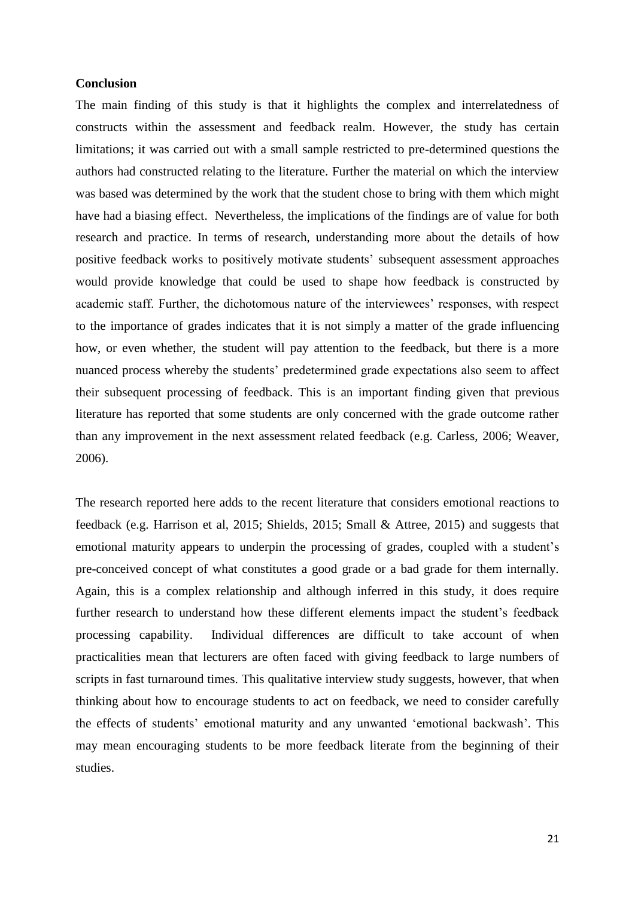#### **Conclusion**

The main finding of this study is that it highlights the complex and interrelatedness of constructs within the assessment and feedback realm. However, the study has certain limitations; it was carried out with a small sample restricted to pre-determined questions the authors had constructed relating to the literature. Further the material on which the interview was based was determined by the work that the student chose to bring with them which might have had a biasing effect. Nevertheless, the implications of the findings are of value for both research and practice. In terms of research, understanding more about the details of how positive feedback works to positively motivate students' subsequent assessment approaches would provide knowledge that could be used to shape how feedback is constructed by academic staff. Further, the dichotomous nature of the interviewees' responses, with respect to the importance of grades indicates that it is not simply a matter of the grade influencing how, or even whether, the student will pay attention to the feedback, but there is a more nuanced process whereby the students' predetermined grade expectations also seem to affect their subsequent processing of feedback. This is an important finding given that previous literature has reported that some students are only concerned with the grade outcome rather than any improvement in the next assessment related feedback (e.g. Carless, 2006; Weaver, 2006).

The research reported here adds to the recent literature that considers emotional reactions to feedback (e.g. Harrison et al, 2015; Shields, 2015; Small & Attree, 2015) and suggests that emotional maturity appears to underpin the processing of grades, coupled with a student's pre-conceived concept of what constitutes a good grade or a bad grade for them internally. Again, this is a complex relationship and although inferred in this study, it does require further research to understand how these different elements impact the student's feedback processing capability. Individual differences are difficult to take account of when practicalities mean that lecturers are often faced with giving feedback to large numbers of scripts in fast turnaround times. This qualitative interview study suggests, however, that when thinking about how to encourage students to act on feedback, we need to consider carefully the effects of students' emotional maturity and any unwanted 'emotional backwash'. This may mean encouraging students to be more feedback literate from the beginning of their studies.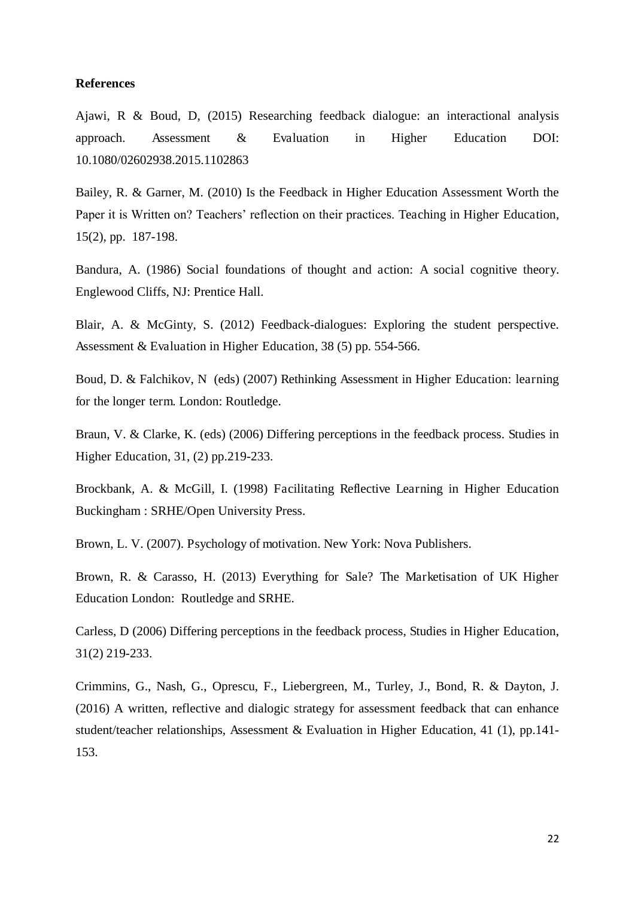#### **References**

Ajawi, R & Boud, D, (2015) Researching feedback dialogue: an interactional analysis approach. Assessment & Evaluation in Higher Education DOI: 10.1080/02602938.2015.1102863

Bailey, R. & Garner, M. (2010) Is the Feedback in Higher Education Assessment Worth the Paper it is Written on? Teachers' reflection on their practices. Teaching in Higher Education, 15(2), pp. 187-198.

Bandura, A. (1986) Social foundations of thought and action: A social cognitive theory. Englewood Cliffs, NJ: Prentice Hall.

Blair, A. & McGinty, S. (2012) Feedback-dialogues: Exploring the student perspective. Assessment & Evaluation in Higher Education, 38 (5) pp. 554-566.

Boud, D. & Falchikov, N (eds) (2007) Rethinking Assessment in Higher Education: learning for the longer term. London: Routledge.

Braun, V. & Clarke, K. (eds) (2006) Differing perceptions in the feedback process. Studies in Higher Education, 31, (2) pp.219-233.

Brockbank, A. & McGill, I. (1998) Facilitating Reflective Learning in Higher Education Buckingham : SRHE/Open University Press.

Brown, L. V. (2007). Psychology of motivation. New York: Nova Publishers.

Brown, R. & Carasso, H. (2013) Everything for Sale? The Marketisation of UK Higher Education London: Routledge and SRHE.

Carless, D (2006) Differing perceptions in the feedback process, Studies in Higher Education, 31(2) 219-233.

Crimmins, G., Nash, G., Oprescu, F., Liebergreen, M., Turley, J., Bond, R. & Dayton, J. (2016) A written, reflective and dialogic strategy for assessment feedback that can enhance student/teacher relationships, Assessment & Evaluation in Higher Education, 41 (1), pp.141- 153.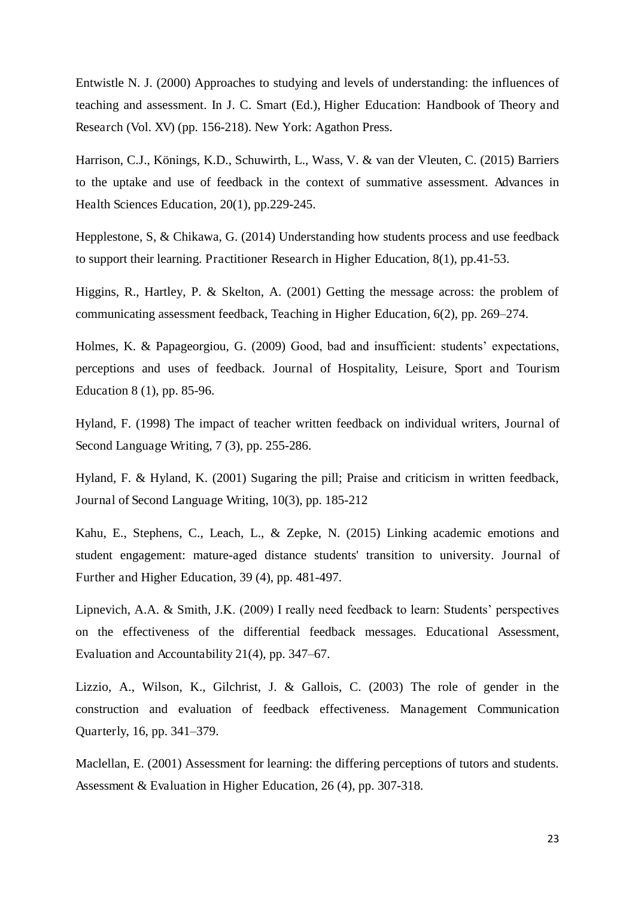Entwistle N. J. (2000) Approaches to studying and levels of understanding: the influences of teaching and assessment. In J. C. Smart (Ed.), Higher Education: Handbook of Theory and Research (Vol. XV) (pp. 156-218). New York: Agathon Press.

Harrison, C.J., Könings, K.D., Schuwirth, L., Wass, V. & van der Vleuten, C. (2015) Barriers to the uptake and use of feedback in the context of summative assessment. Advances in Health Sciences Education, 20(1), pp.229-245.

Hepplestone, S, & Chikawa, G. (2014) Understanding how students process and use feedback to support their learning. Practitioner Research in Higher Education, 8(1), pp.41-53.

Higgins, R., Hartley, P. & Skelton, A. (2001) Getting the message across: the problem of communicating assessment feedback, Teaching in Higher Education, 6(2), pp. 269–274.

Holmes, K. & Papageorgiou, G. (2009) Good, bad and insufficient: students' expectations, perceptions and uses of feedback. Journal of Hospitality, Leisure, Sport and Tourism Education 8 (1), pp. 85-96.

Hyland, F. (1998) The impact of teacher written feedback on individual writers, Journal of Second Language Writing, 7 (3), pp. 255-286.

Hyland, F. & Hyland, K. (2001) Sugaring the pill; Praise and criticism in written feedback, Journal of Second Language Writing, 10(3), pp. 185-212

Kahu, E., Stephens, C., Leach, L., & Zepke, N. (2015) Linking academic emotions and student engagement: mature-aged distance students' transition to university. Journal of Further and Higher Education, 39 (4), pp. 481-497.

Lipnevich, A.A. & Smith, J.K. (2009) I really need feedback to learn: Students' perspectives on the effectiveness of the differential feedback messages. Educational Assessment, Evaluation and Accountability 21(4), pp. 347–67.

Lizzio, A., Wilson, K., Gilchrist, J. & Gallois, C. (2003) The role of gender in the construction and evaluation of feedback effectiveness. Management Communication Quarterly, 16, pp. 341–379.

Maclellan, E. (2001) Assessment for learning: the differing perceptions of tutors and students. Assessment & Evaluation in Higher Education, 26 (4), pp. 307-318.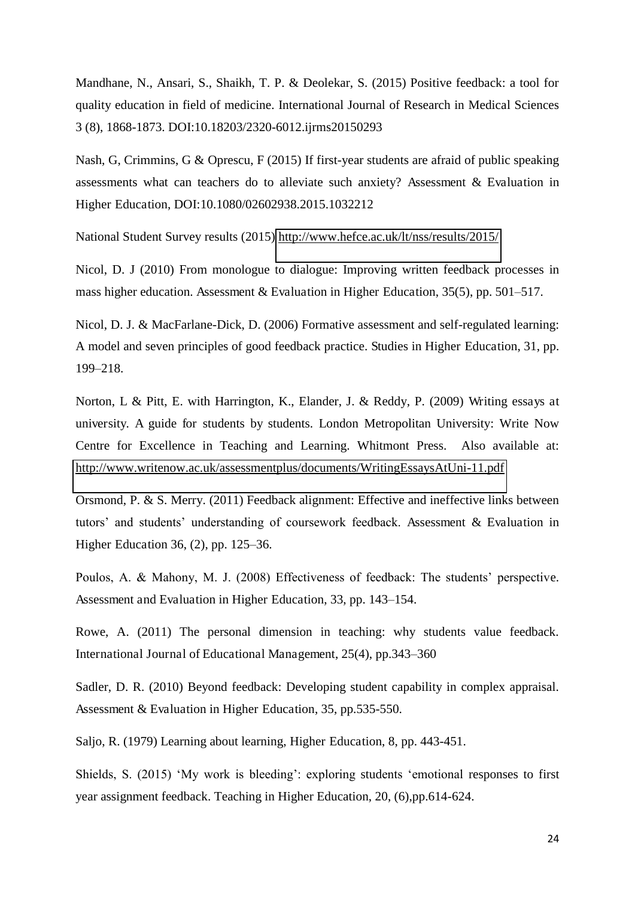Mandhane, N., Ansari, S., Shaikh, T. P. & Deolekar, S. (2015) Positive feedback: a tool for quality education in field of medicine. International Journal of Research in Medical Sciences 3 (8), 1868-1873. DOI:10.18203/2320-6012.ijrms20150293

Nash, G, Crimmins, G & Oprescu, F (2015) If first-year students are afraid of public speaking assessments what can teachers do to alleviate such anxiety? Assessment & Evaluation in Higher Education, DOI:10.1080/02602938.2015.1032212

National Student Survey results (2015)<http://www.hefce.ac.uk/lt/nss/results/2015/>

Nicol, D. J (2010) From monologue to dialogue: Improving written feedback processes in mass higher education. Assessment & Evaluation in Higher Education, 35(5), pp. 501–517.

Nicol, D. J. & MacFarlane-Dick, D. (2006) Formative assessment and self-regulated learning: A model and seven principles of good feedback practice. Studies in Higher Education, 31, pp. 199–218.

Norton, L & Pitt, E. with Harrington, K., Elander, J. & Reddy, P. (2009) Writing essays at university. A guide for students by students. London Metropolitan University: Write Now Centre for Excellence in Teaching and Learning. Whitmont Press. Also available at: <http://www.writenow.ac.uk/assessmentplus/documents/WritingEssaysAtUni-11.pdf>

Orsmond, P. & S. Merry. (2011) Feedback alignment: Effective and ineffective links between tutors' and students' understanding of coursework feedback. Assessment & Evaluation in Higher Education 36, (2), pp. 125–36.

Poulos, A. & Mahony, M. J. (2008) Effectiveness of feedback: The students' perspective. Assessment and Evaluation in Higher Education, 33, pp. 143–154.

Rowe, A. (2011) The personal dimension in teaching: why students value feedback. International Journal of Educational Management, 25(4), pp.343–360

Sadler, D. R. (2010) Beyond feedback: Developing student capability in complex appraisal. Assessment & Evaluation in Higher Education, 35, pp.535-550.

Saljo, R. (1979) Learning about learning, Higher Education, 8, pp. 443-451.

Shields, S. (2015) 'My work is bleeding': exploring students 'emotional responses to first year assignment feedback. Teaching in Higher Education, 20, (6),pp.614-624.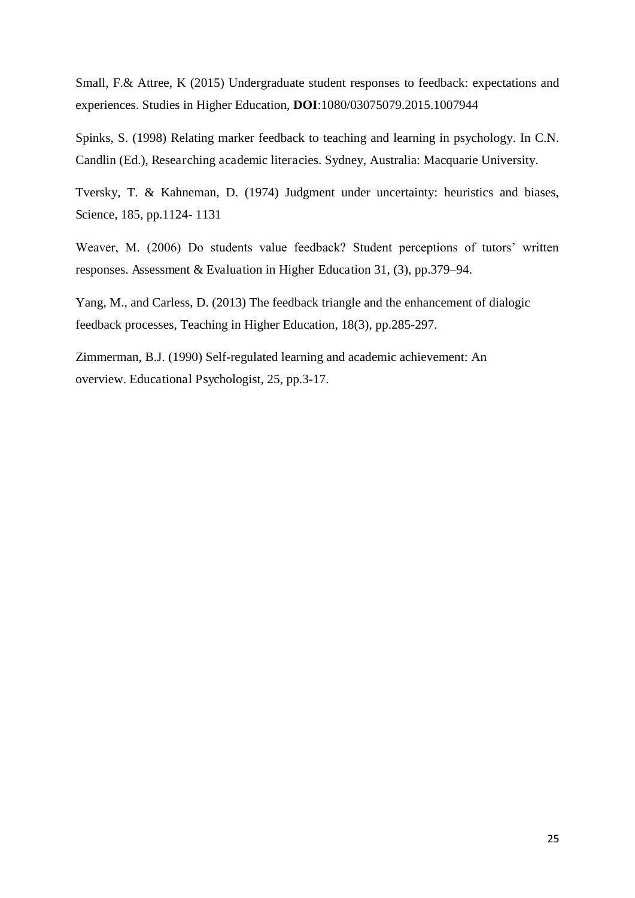Small, F.& Attree, K (2015) Undergraduate student responses to feedback: expectations and experiences. Studies in Higher Education, **DOI**:1080/03075079.2015.1007944

Spinks, S. (1998) Relating marker feedback to teaching and learning in psychology. In C.N. Candlin (Ed.), Researching academic literacies. Sydney, Australia: Macquarie University.

Tversky, T. & Kahneman, D. (1974) Judgment under uncertainty: heuristics and biases, Science, 185, pp.1124- 1131

Weaver, M. (2006) Do students value feedback? Student perceptions of tutors' written responses. Assessment & Evaluation in Higher Education 31, (3), pp.379–94.

Yang, M., and Carless, D. (2013) The feedback triangle and the enhancement of dialogic feedback processes, Teaching in Higher Education, 18(3), pp.285-297.

Zimmerman, B.J. (1990) Self-regulated learning and academic achievement: An overview. Educational Psychologist, 25, pp.3-17.